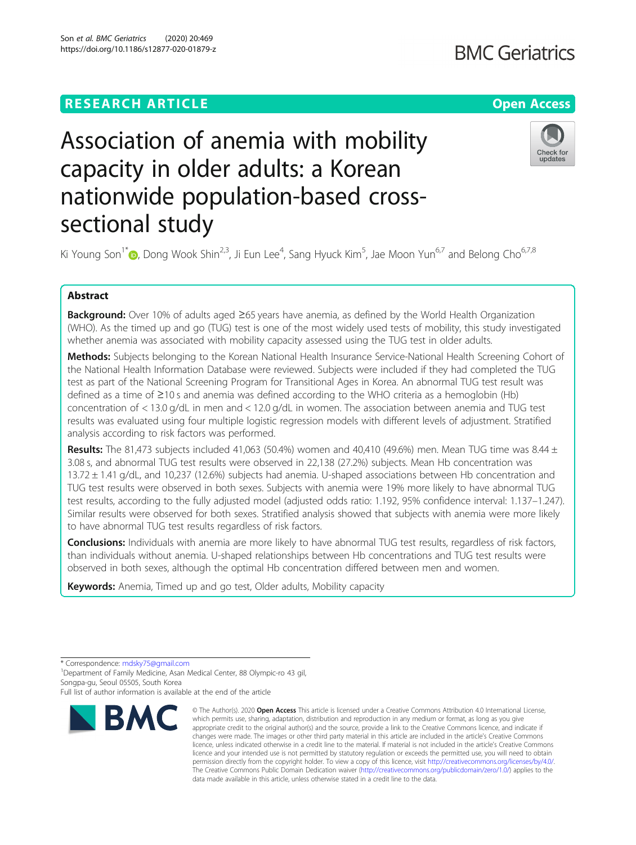sectional study

Son et al. BMC Geriatrics (2020) 20:469

# **RESEARCH ARTICLE Example 2014 12:30 The Contract of Contract ACCESS**

# Check for updates

Ki Young Son $1^*$  $1^*$  (D, Dong Wook Shin $^{2,3}$ , Ji Eun Lee $^4$ , Sang Hyuck Kim $^5$ , Jae Moon Yun $^{6,7}$  and Belong Cho $^{6,7,8}$ 

Association of anemia with mobility

nationwide population-based cross-

capacity in older adults: a Korean

## Abstract

**Background:** Over 10% of adults aged ≥65 years have anemia, as defined by the World Health Organization (WHO). As the timed up and go (TUG) test is one of the most widely used tests of mobility, this study investigated whether anemia was associated with mobility capacity assessed using the TUG test in older adults.

Methods: Subjects belonging to the Korean National Health Insurance Service-National Health Screening Cohort of the National Health Information Database were reviewed. Subjects were included if they had completed the TUG test as part of the National Screening Program for Transitional Ages in Korea. An abnormal TUG test result was defined as a time of ≥10 s and anemia was defined according to the WHO criteria as a hemoglobin (Hb) concentration of < 13.0 g/dL in men and < 12.0 g/dL in women. The association between anemia and TUG test results was evaluated using four multiple logistic regression models with different levels of adjustment. Stratified analysis according to risk factors was performed.

**Results:** The 81,473 subjects included 41,063 (50.4%) women and 40,410 (49.6%) men. Mean TUG time was 8.44  $\pm$ 3.08 s, and abnormal TUG test results were observed in 22,138 (27.2%) subjects. Mean Hb concentration was 13.72 ± 1.41 g/dL, and 10,237 (12.6%) subjects had anemia. U-shaped associations between Hb concentration and TUG test results were observed in both sexes. Subjects with anemia were 19% more likely to have abnormal TUG test results, according to the fully adjusted model (adjusted odds ratio: 1.192, 95% confidence interval: 1.137–1.247). Similar results were observed for both sexes. Stratified analysis showed that subjects with anemia were more likely to have abnormal TUG test results regardless of risk factors.

**Conclusions:** Individuals with anemia are more likely to have abnormal TUG test results, regardless of risk factors, than individuals without anemia. U-shaped relationships between Hb concentrations and TUG test results were observed in both sexes, although the optimal Hb concentration differed between men and women.

Keywords: Anemia, Timed up and go test, Older adults, Mobility capacity

<sup>1</sup>Department of Family Medicine, Asan Medical Center, 88 Olympic-ro 43 gil, Songpa-gu, Seoul 05505, South Korea

Full list of author information is available at the end of the article



<sup>©</sup> The Author(s), 2020 **Open Access** This article is licensed under a Creative Commons Attribution 4.0 International License, which permits use, sharing, adaptation, distribution and reproduction in any medium or format, as long as you give appropriate credit to the original author(s) and the source, provide a link to the Creative Commons licence, and indicate if changes were made. The images or other third party material in this article are included in the article's Creative Commons licence, unless indicated otherwise in a credit line to the material. If material is not included in the article's Creative Commons licence and your intended use is not permitted by statutory regulation or exceeds the permitted use, you will need to obtain permission directly from the copyright holder. To view a copy of this licence, visit [http://creativecommons.org/licenses/by/4.0/.](http://creativecommons.org/licenses/by/4.0/) The Creative Commons Public Domain Dedication waiver [\(http://creativecommons.org/publicdomain/zero/1.0/](http://creativecommons.org/publicdomain/zero/1.0/)) applies to the data made available in this article, unless otherwise stated in a credit line to the data.

<sup>\*</sup> Correspondence: [mdsky75@gmail.com](mailto:mdsky75@gmail.com) <sup>1</sup>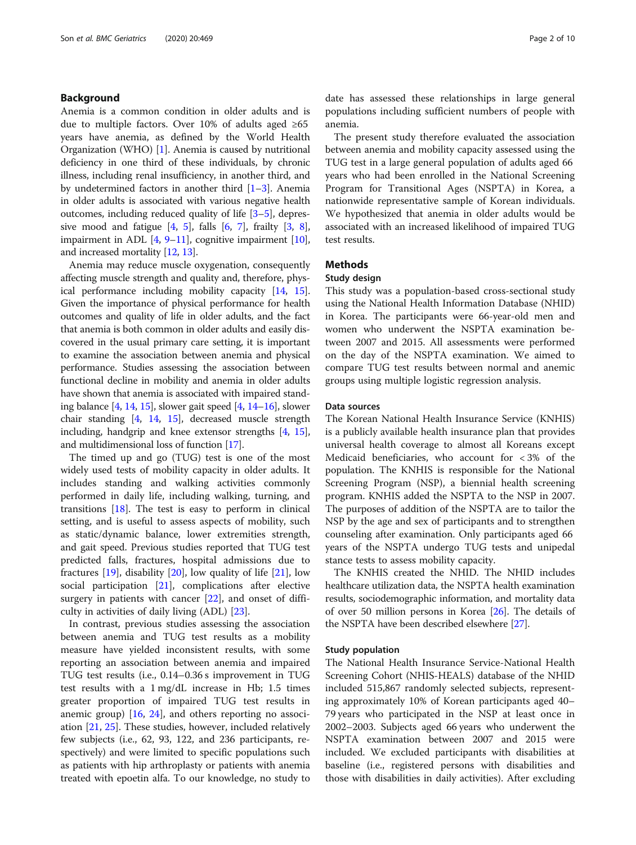#### Background

Anemia is a common condition in older adults and is due to multiple factors. Over 10% of adults aged ≥65 years have anemia, as defined by the World Health Organization (WHO) [\[1\]](#page-8-0). Anemia is caused by nutritional deficiency in one third of these individuals, by chronic illness, including renal insufficiency, in another third, and by undetermined factors in another third [\[1](#page-8-0)–[3\]](#page-8-0). Anemia in older adults is associated with various negative health outcomes, including reduced quality of life [[3](#page-8-0)–[5](#page-8-0)], depressive mood and fatigue  $[4, 5]$  $[4, 5]$  $[4, 5]$  $[4, 5]$  $[4, 5]$ , falls  $[6, 7]$  $[6, 7]$  $[6, 7]$  $[6, 7]$  $[6, 7]$ , frailty  $[3, 8]$  $[3, 8]$  $[3, 8]$  $[3, 8]$  $[3, 8]$ , impairment in ADL  $[4, 9-11]$  $[4, 9-11]$  $[4, 9-11]$  $[4, 9-11]$  $[4, 9-11]$  $[4, 9-11]$  $[4, 9-11]$ , cognitive impairment  $[10]$  $[10]$  $[10]$ , and increased mortality [\[12,](#page-9-0) [13](#page-9-0)].

Anemia may reduce muscle oxygenation, consequently affecting muscle strength and quality and, therefore, physical performance including mobility capacity [[14](#page-9-0), [15](#page-9-0)]. Given the importance of physical performance for health outcomes and quality of life in older adults, and the fact that anemia is both common in older adults and easily discovered in the usual primary care setting, it is important to examine the association between anemia and physical performance. Studies assessing the association between functional decline in mobility and anemia in older adults have shown that anemia is associated with impaired standing balance [\[4](#page-8-0), [14,](#page-9-0) [15\]](#page-9-0), slower gait speed [\[4](#page-8-0), [14](#page-9-0)–[16\]](#page-9-0), slower chair standing [\[4,](#page-8-0) [14,](#page-9-0) [15\]](#page-9-0), decreased muscle strength including, handgrip and knee extensor strengths [[4](#page-8-0), [15](#page-9-0)], and multidimensional loss of function [\[17\]](#page-9-0).

The timed up and go (TUG) test is one of the most widely used tests of mobility capacity in older adults. It includes standing and walking activities commonly performed in daily life, including walking, turning, and transitions  $[18]$  $[18]$ . The test is easy to perform in clinical setting, and is useful to assess aspects of mobility, such as static/dynamic balance, lower extremities strength, and gait speed. Previous studies reported that TUG test predicted falls, fractures, hospital admissions due to fractures  $[19]$  $[19]$ , disability  $[20]$ , low quality of life  $[21]$  $[21]$  $[21]$ , low social participation [[21](#page-9-0)], complications after elective surgery in patients with cancer [[22\]](#page-9-0), and onset of difficulty in activities of daily living (ADL) [\[23\]](#page-9-0).

In contrast, previous studies assessing the association between anemia and TUG test results as a mobility measure have yielded inconsistent results, with some reporting an association between anemia and impaired TUG test results (i.e., 0.14–0.36 s improvement in TUG test results with a 1 mg/dL increase in Hb; 1.5 times greater proportion of impaired TUG test results in anemic group) [\[16,](#page-9-0) [24\]](#page-9-0), and others reporting no association [\[21](#page-9-0), [25\]](#page-9-0). These studies, however, included relatively few subjects (i.e., 62, 93, 122, and 236 participants, respectively) and were limited to specific populations such as patients with hip arthroplasty or patients with anemia treated with epoetin alfa. To our knowledge, no study to

date has assessed these relationships in large general populations including sufficient numbers of people with anemia.

The present study therefore evaluated the association between anemia and mobility capacity assessed using the TUG test in a large general population of adults aged 66 years who had been enrolled in the National Screening Program for Transitional Ages (NSPTA) in Korea, a nationwide representative sample of Korean individuals. We hypothesized that anemia in older adults would be associated with an increased likelihood of impaired TUG test results.

#### **Methods**

#### Study design

This study was a population-based cross-sectional study using the National Health Information Database (NHID) in Korea. The participants were 66-year-old men and women who underwent the NSPTA examination between 2007 and 2015. All assessments were performed on the day of the NSPTA examination. We aimed to compare TUG test results between normal and anemic groups using multiple logistic regression analysis.

#### Data sources

The Korean National Health Insurance Service (KNHIS) is a publicly available health insurance plan that provides universal health coverage to almost all Koreans except Medicaid beneficiaries, who account for < 3% of the population. The KNHIS is responsible for the National Screening Program (NSP), a biennial health screening program. KNHIS added the NSPTA to the NSP in 2007. The purposes of addition of the NSPTA are to tailor the NSP by the age and sex of participants and to strengthen counseling after examination. Only participants aged 66 years of the NSPTA undergo TUG tests and unipedal stance tests to assess mobility capacity.

The KNHIS created the NHID. The NHID includes healthcare utilization data, the NSPTA health examination results, sociodemographic information, and mortality data of over 50 million persons in Korea [\[26\]](#page-9-0). The details of the NSPTA have been described elsewhere [\[27](#page-9-0)].

#### Study population

The National Health Insurance Service-National Health Screening Cohort (NHIS-HEALS) database of the NHID included 515,867 randomly selected subjects, representing approximately 10% of Korean participants aged 40– 79 years who participated in the NSP at least once in 2002–2003. Subjects aged 66 years who underwent the NSPTA examination between 2007 and 2015 were included. We excluded participants with disabilities at baseline (i.e., registered persons with disabilities and those with disabilities in daily activities). After excluding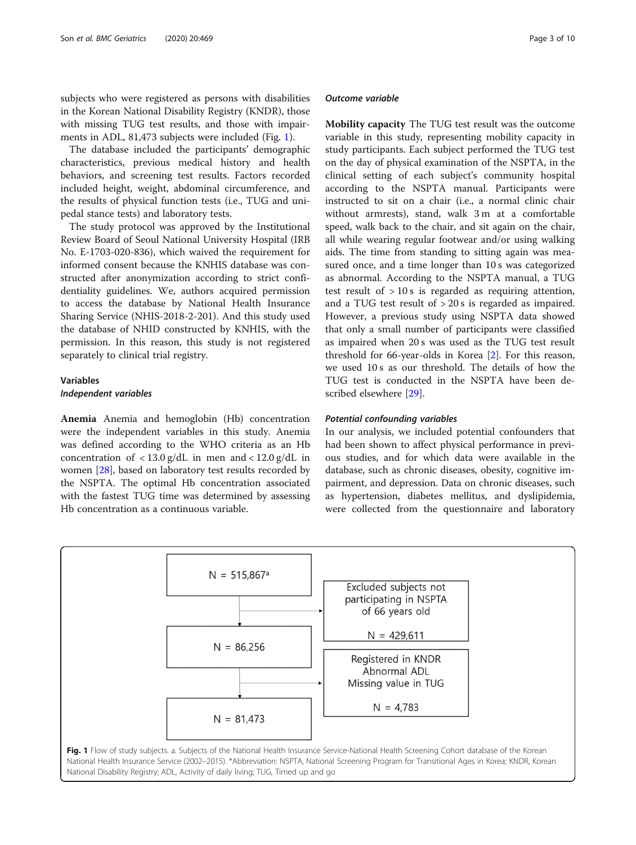<span id="page-2-0"></span>subjects who were registered as persons with disabilities in the Korean National Disability Registry (KNDR), those with missing TUG test results, and those with impairments in ADL, 81,473 subjects were included (Fig. 1).

The database included the participants' demographic characteristics, previous medical history and health behaviors, and screening test results. Factors recorded included height, weight, abdominal circumference, and the results of physical function tests (i.e., TUG and unipedal stance tests) and laboratory tests.

The study protocol was approved by the Institutional Review Board of Seoul National University Hospital (IRB No. E-1703-020-836), which waived the requirement for informed consent because the KNHIS database was constructed after anonymization according to strict confidentiality guidelines. We, authors acquired permission to access the database by National Health Insurance Sharing Service (NHIS-2018-2-201). And this study used the database of NHID constructed by KNHIS, with the permission. In this reason, this study is not registered separately to clinical trial registry.

# Variables

### Independent variables

Anemia Anemia and hemoglobin (Hb) concentration were the independent variables in this study. Anemia was defined according to the WHO criteria as an Hb concentration of  $\langle 13.0 \text{ g/d}$  in men and  $\langle 12.0 \text{ g/d}$  in women [[28\]](#page-9-0), based on laboratory test results recorded by the NSPTA. The optimal Hb concentration associated with the fastest TUG time was determined by assessing Hb concentration as a continuous variable.

#### Outcome variable

Mobility capacity The TUG test result was the outcome variable in this study, representing mobility capacity in study participants. Each subject performed the TUG test on the day of physical examination of the NSPTA, in the clinical setting of each subject's community hospital according to the NSPTA manual. Participants were instructed to sit on a chair (i.e., a normal clinic chair without armrests), stand, walk 3 m at a comfortable speed, walk back to the chair, and sit again on the chair, all while wearing regular footwear and/or using walking aids. The time from standing to sitting again was measured once, and a time longer than 10 s was categorized as abnormal. According to the NSPTA manual, a TUG test result of > 10 s is regarded as requiring attention, and a TUG test result of > 20 s is regarded as impaired. However, a previous study using NSPTA data showed that only a small number of participants were classified as impaired when 20 s was used as the TUG test result threshold for 66-year-olds in Korea [\[2](#page-8-0)]. For this reason, we used 10 s as our threshold. The details of how the TUG test is conducted in the NSPTA have been described elsewhere [[29\]](#page-9-0).

#### Potential confounding variables

In our analysis, we included potential confounders that had been shown to affect physical performance in previous studies, and for which data were available in the database, such as chronic diseases, obesity, cognitive impairment, and depression. Data on chronic diseases, such as hypertension, diabetes mellitus, and dyslipidemia, were collected from the questionnaire and laboratory

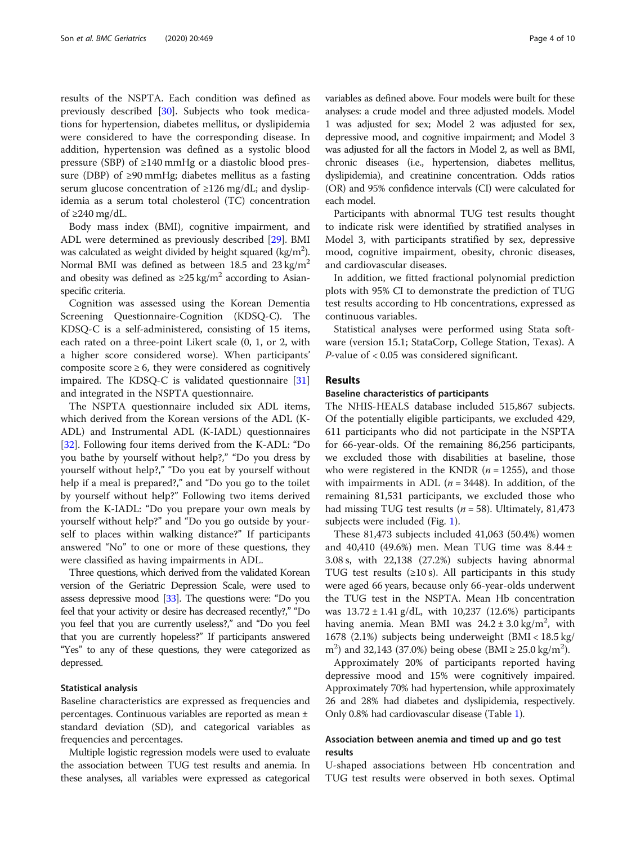results of the NSPTA. Each condition was defined as previously described [\[30](#page-9-0)]. Subjects who took medications for hypertension, diabetes mellitus, or dyslipidemia were considered to have the corresponding disease. In addition, hypertension was defined as a systolic blood pressure (SBP) of  $\geq$ 140 mmHg or a diastolic blood pressure (DBP) of  $\geq$ 90 mmHg; diabetes mellitus as a fasting serum glucose concentration of  $\geq$ 126 mg/dL; and dyslipidemia as a serum total cholesterol (TC) concentration of ≥240 mg/dL.

Body mass index (BMI), cognitive impairment, and ADL were determined as previously described [[29\]](#page-9-0). BMI was calculated as weight divided by height squared (kg/m<sup>2</sup>). Normal BMI was defined as between 18.5 and  $23 \text{ kg/m}^2$ and obesity was defined as  $\geq 25 \text{ kg/m}^2$  according to Asianspecific criteria.

Cognition was assessed using the Korean Dementia Screening Questionnaire-Cognition (KDSQ-C). The KDSQ-C is a self-administered, consisting of 15 items, each rated on a three-point Likert scale (0, 1, or 2, with a higher score considered worse). When participants' composite score  $\geq 6$ , they were considered as cognitively impaired. The KDSQ-C is validated questionnaire [[31](#page-9-0)] and integrated in the NSPTA questionnaire.

The NSPTA questionnaire included six ADL items, which derived from the Korean versions of the ADL (K-ADL) and Instrumental ADL (K-IADL) questionnaires [[32\]](#page-9-0). Following four items derived from the K-ADL: "Do you bathe by yourself without help?," "Do you dress by yourself without help?," "Do you eat by yourself without help if a meal is prepared?," and "Do you go to the toilet by yourself without help?" Following two items derived from the K-IADL: "Do you prepare your own meals by yourself without help?" and "Do you go outside by yourself to places within walking distance?" If participants answered "No" to one or more of these questions, they were classified as having impairments in ADL.

Three questions, which derived from the validated Korean version of the Geriatric Depression Scale, were used to assess depressive mood [[33\]](#page-9-0). The questions were: "Do you feel that your activity or desire has decreased recently?," "Do you feel that you are currently useless?," and "Do you feel that you are currently hopeless?" If participants answered "Yes" to any of these questions, they were categorized as depressed.

#### Statistical analysis

Baseline characteristics are expressed as frequencies and percentages. Continuous variables are reported as mean ± standard deviation (SD), and categorical variables as frequencies and percentages.

Multiple logistic regression models were used to evaluate the association between TUG test results and anemia. In these analyses, all variables were expressed as categorical variables as defined above. Four models were built for these analyses: a crude model and three adjusted models. Model 1 was adjusted for sex; Model 2 was adjusted for sex, depressive mood, and cognitive impairment; and Model 3 was adjusted for all the factors in Model 2, as well as BMI, chronic diseases (i.e., hypertension, diabetes mellitus, dyslipidemia), and creatinine concentration. Odds ratios (OR) and 95% confidence intervals (CI) were calculated for each model.

Participants with abnormal TUG test results thought to indicate risk were identified by stratified analyses in Model 3, with participants stratified by sex, depressive mood, cognitive impairment, obesity, chronic diseases, and cardiovascular diseases.

In addition, we fitted fractional polynomial prediction plots with 95% CI to demonstrate the prediction of TUG test results according to Hb concentrations, expressed as continuous variables.

Statistical analyses were performed using Stata software (version 15.1; StataCorp, College Station, Texas). A P-value of < 0.05 was considered significant.

#### Results

#### Baseline characteristics of participants

The NHIS-HEALS database included 515,867 subjects. Of the potentially eligible participants, we excluded 429, 611 participants who did not participate in the NSPTA for 66-year-olds. Of the remaining 86,256 participants, we excluded those with disabilities at baseline, those who were registered in the KNDR ( $n = 1255$ ), and those with impairments in ADL ( $n = 3448$ ). In addition, of the remaining 81,531 participants, we excluded those who had missing TUG test results ( $n = 58$ ). Ultimately, 81,473 subjects were included (Fig. [1\)](#page-2-0).

These 81,473 subjects included 41,063 (50.4%) women and 40,410 (49.6%) men. Mean TUG time was 8.44 ± 3.08 s, with 22,138 (27.2%) subjects having abnormal TUG test results  $(\geq 10 \text{ s})$ . All participants in this study were aged 66 years, because only 66-year-olds underwent the TUG test in the NSPTA. Mean Hb concentration was 13.72 ± 1.41 g/dL, with 10,237 (12.6%) participants having anemia. Mean BMI was  $24.2 \pm 3.0$  kg/m<sup>2</sup>, with 1678 (2.1%) subjects being underweight (BMI < 18.5 kg/ m<sup>2</sup>) and 32,143 (37.0%) being obese (BMI  $\geq$  25.0 kg/m<sup>2</sup>).

Approximately 20% of participants reported having depressive mood and 15% were cognitively impaired. Approximately 70% had hypertension, while approximately 26 and 28% had diabetes and dyslipidemia, respectively. Only 0.8% had cardiovascular disease (Table [1\)](#page-4-0).

### Association between anemia and timed up and go test results

U-shaped associations between Hb concentration and TUG test results were observed in both sexes. Optimal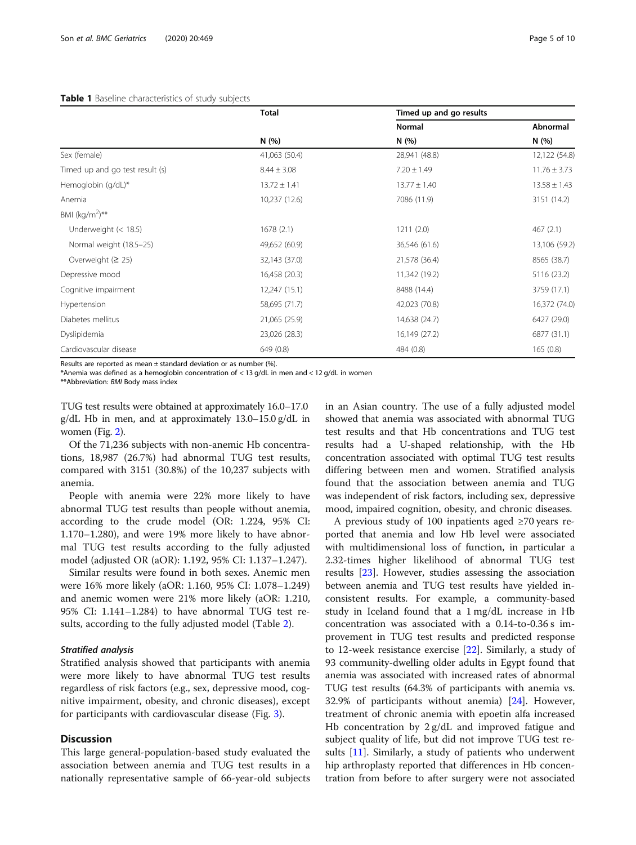#### <span id="page-4-0"></span>Table 1 Baseline characteristics of study subjects

|                                                                       | <b>Total</b>     | Timed up and go results |                  |
|-----------------------------------------------------------------------|------------------|-------------------------|------------------|
|                                                                       |                  | <b>Normal</b>           | Abnormal         |
|                                                                       | N(%)             | N(% )                   | N (%)            |
| Sex (female)                                                          | 41,063 (50.4)    | 28,941 (48.8)           | 12,122 (54.8)    |
| Timed up and go test result (s)                                       | $8.44 \pm 3.08$  | $7.20 \pm 1.49$         | $11.76 \pm 3.73$ |
| Hemoglobin (g/dL)*                                                    | $13.72 \pm 1.41$ | $13.77 \pm 1.40$        | $13.58 \pm 1.43$ |
| Anemia                                                                | 10,237 (12.6)    | 7086 (11.9)             | 3151 (14.2)      |
| BMI (kg/m <sup>2</sup> )**                                            |                  |                         |                  |
| Underweight $(< 18.5)$                                                | 1678(2.1)        | 1211(2.0)               | 467(2.1)         |
| Normal weight (18.5-25)                                               | 49,652 (60.9)    | 36,546 (61.6)           | 13,106 (59.2)    |
| Overweight $(2 25)$                                                   | 32,143 (37.0)    | 21,578 (36.4)           | 8565 (38.7)      |
| Depressive mood                                                       | 16,458 (20.3)    | 11,342 (19.2)           | 5116 (23.2)      |
| Cognitive impairment                                                  | 12,247 (15.1)    | 8488 (14.4)             | 3759 (17.1)      |
| Hypertension                                                          | 58,695 (71.7)    | 42,023 (70.8)           | 16,372 (74.0)    |
| Diabetes mellitus                                                     | 21,065 (25.9)    | 14,638 (24.7)           | 6427 (29.0)      |
| Dyslipidemia                                                          | 23,026 (28.3)    | 16,149 (27.2)           | 6877 (31.1)      |
| Cardiovascular disease                                                | 649 (0.8)        | 484 (0.8)               | 165(0.8)         |
| Brooker and contract and con-<br>a contract and contract and contract | 1.1.001          |                         |                  |

Results are reported as mean  $\pm$  standard deviation or as number (%).

\*Anemia was defined as a hemoglobin concentration of < 13 g/dL in men and < 12 g/dL in women

\*\*Abbreviation: BMI Body mass index

TUG test results were obtained at approximately 16.0–17.0 g/dL Hb in men, and at approximately 13.0–15.0 g/dL in women (Fig. [2](#page-5-0)).

Of the 71,236 subjects with non-anemic Hb concentrations, 18,987 (26.7%) had abnormal TUG test results, compared with 3151 (30.8%) of the 10,237 subjects with anemia.

People with anemia were 22% more likely to have abnormal TUG test results than people without anemia, according to the crude model (OR: 1.224, 95% CI: 1.170–1.280), and were 19% more likely to have abnormal TUG test results according to the fully adjusted model (adjusted OR (aOR): 1.192, 95% CI: 1.137–1.247).

Similar results were found in both sexes. Anemic men were 16% more likely (aOR: 1.160, 95% CI: 1.078–1.249) and anemic women were 21% more likely (aOR: 1.210, 95% CI: 1.141–1.284) to have abnormal TUG test results, according to the fully adjusted model (Table [2](#page-6-0)).

#### Stratified analysis

Stratified analysis showed that participants with anemia were more likely to have abnormal TUG test results regardless of risk factors (e.g., sex, depressive mood, cognitive impairment, obesity, and chronic diseases), except for participants with cardiovascular disease (Fig. [3](#page-6-0)).

#### **Discussion**

This large general-population-based study evaluated the association between anemia and TUG test results in a nationally representative sample of 66-year-old subjects in an Asian country. The use of a fully adjusted model showed that anemia was associated with abnormal TUG test results and that Hb concentrations and TUG test results had a U-shaped relationship, with the Hb concentration associated with optimal TUG test results differing between men and women. Stratified analysis found that the association between anemia and TUG was independent of risk factors, including sex, depressive mood, impaired cognition, obesity, and chronic diseases.

A previous study of 100 inpatients aged ≥70 years reported that anemia and low Hb level were associated with multidimensional loss of function, in particular a 2.32-times higher likelihood of abnormal TUG test results [\[23](#page-9-0)]. However, studies assessing the association between anemia and TUG test results have yielded inconsistent results. For example, a community-based study in Iceland found that a 1 mg/dL increase in Hb concentration was associated with a 0.14-to-0.36 s improvement in TUG test results and predicted response to 12-week resistance exercise [[22\]](#page-9-0). Similarly, a study of 93 community-dwelling older adults in Egypt found that anemia was associated with increased rates of abnormal TUG test results (64.3% of participants with anemia vs. 32.9% of participants without anemia) [\[24](#page-9-0)]. However, treatment of chronic anemia with epoetin alfa increased Hb concentration by 2 g/dL and improved fatigue and subject quality of life, but did not improve TUG test results [\[11](#page-9-0)]. Similarly, a study of patients who underwent hip arthroplasty reported that differences in Hb concentration from before to after surgery were not associated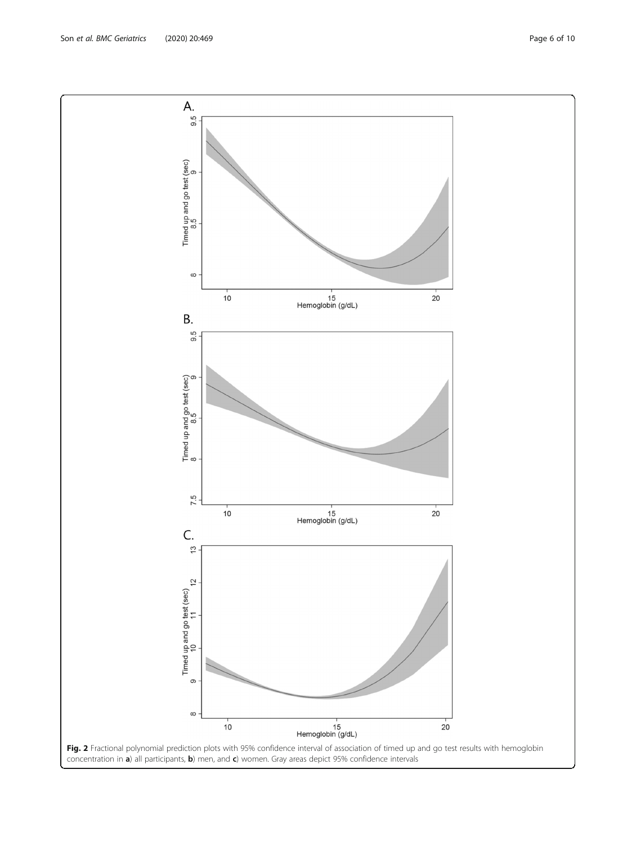<span id="page-5-0"></span>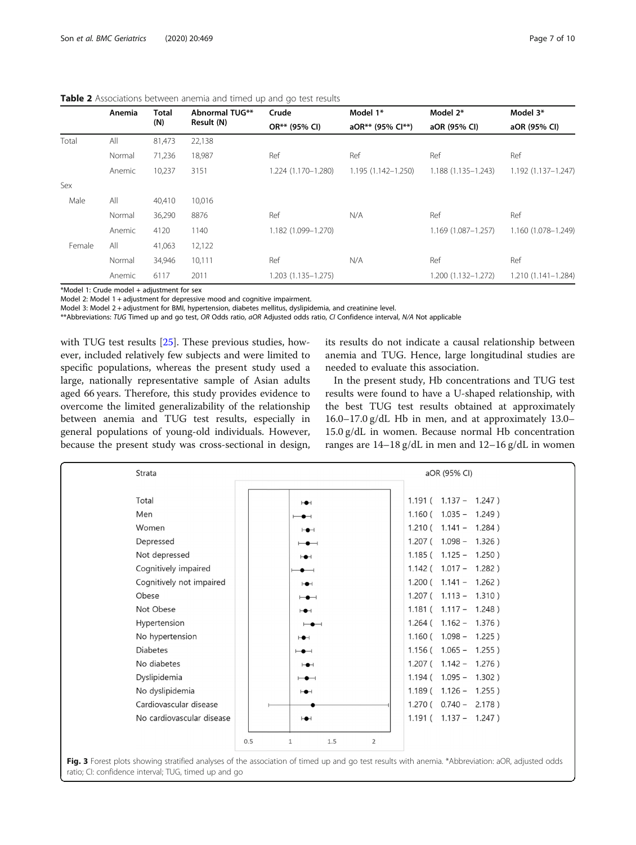<span id="page-6-0"></span>

|--|

|        | Anemia | <b>Total</b> | <b>Abnormal TUG**</b> | Crude<br>OR** (95% CI) | Model 1*<br>aOR** (95% Cl**) | Model 2*<br>aOR (95% CI) | Model 3*<br>aOR (95% CI) |
|--------|--------|--------------|-----------------------|------------------------|------------------------------|--------------------------|--------------------------|
|        |        | (N)          | Result (N)            |                        |                              |                          |                          |
| Total  | All    | 81,473       | 22,138                |                        |                              |                          |                          |
|        | Normal | 71,236       | 18,987                | Ref                    | Ref                          | Ref                      | Ref                      |
|        | Anemic | 10,237       | 3151                  | 1.224 (1.170-1.280)    | $1.195(1.142 - 1.250)$       | $1.188(1.135 - 1.243)$   | 1.192 (1.137-1.247)      |
| Sex    |        |              |                       |                        |                              |                          |                          |
| Male   | All    | 40,410       | 10,016                |                        |                              |                          |                          |
|        | Normal | 36,290       | 8876                  | Ref                    | N/A                          | Ref                      | Ref                      |
|        | Anemic | 4120         | 1140                  | 1.182 (1.099-1.270)    |                              | $1.169(1.087 - 1.257)$   | 1.160 (1.078-1.249)      |
| Female | All    | 41,063       | 12,122                |                        |                              |                          |                          |
|        | Normal | 34,946       | 10,111                | Ref                    | N/A                          | Ref                      | Ref                      |
|        | Anemic | 6117         | 2011                  | 1.203 (1.135-1.275)    |                              | 1.200 (1.132-1.272)      | 1.210 (1.141-1.284)      |

\*Model 1: Crude model + adjustment for sex

Model 2: Model 1 + adjustment for depressive mood and cognitive impairment.

Model 3: Model 2 + adjustment for BMI, hypertension, diabetes mellitus, dyslipidemia, and creatinine level.

\*\*Abbreviations: TUG Timed up and go test, OR Odds ratio, aOR Adjusted odds ratio, CI Confidence interval, N/A Not applicable

with TUG test results [[25](#page-9-0)]. These previous studies, however, included relatively few subjects and were limited to specific populations, whereas the present study used a large, nationally representative sample of Asian adults aged 66 years. Therefore, this study provides evidence to overcome the limited generalizability of the relationship between anemia and TUG test results, especially in general populations of young-old individuals. However, because the present study was cross-sectional in design, its results do not indicate a causal relationship between anemia and TUG. Hence, large longitudinal studies are needed to evaluate this association.

In the present study, Hb concentrations and TUG test results were found to have a U-shaped relationship, with the best TUG test results obtained at approximately 16.0–17.0 g/dL Hb in men, and at approximately 13.0– 15.0 g/dL in women. Because normal Hb concentration ranges are 14–18 g/dL in men and 12–16 g/dL in women

| Strata                    |                                                                                                                                                                 | aOR (95% CI)                |
|---------------------------|-----------------------------------------------------------------------------------------------------------------------------------------------------------------|-----------------------------|
| Total                     | $H +$                                                                                                                                                           | $1.191($ $1.137 - 1.247)$   |
| Men                       | $\overline{\phantom{a}}$                                                                                                                                        | $1.160$ ( $1.035 - 1.249$ ) |
| Women                     | $\vdash\bullet\dashv$                                                                                                                                           | $1.210(1.141 - 1.284)$      |
| Depressed                 | $\overline{\phantom{a}}$                                                                                                                                        | $1.207$ ( $1.098 - 1.326$ ) |
| Not depressed             | $\vdash\bullet\vdash$                                                                                                                                           | $1.185($ $1.125 - 1.250)$   |
| Cognitively impaired      | $\bullet$ $\hspace{0.05cm}$                                                                                                                                     | $1.142$ ( $1.017 - 1.282$ ) |
| Cognitively not impaired  | $\mapsto$                                                                                                                                                       | $1.200$ ( $1.141 - 1.262$ ) |
| Obese                     | $\longmapsto$                                                                                                                                                   | $1.207$ ( $1.113 - 1.310$ ) |
| Not Obese                 | $\vdash\bullet\vdash$                                                                                                                                           | $1.181($ $1.117 - 1.248)$   |
| Hypertension              | $\overline{\phantom{a}}$                                                                                                                                        | $1.264$ ( $1.162 - 1.376$ ) |
| No hypertension           | $\mapsto$                                                                                                                                                       | $1.160$ ( $1.098 - 1.225$ ) |
| <b>Diabetes</b>           | $\mapsto$                                                                                                                                                       | $1.156$ ( $1.065 - 1.255$ ) |
| No diabetes               | $\vdash\bullet\vdash$                                                                                                                                           | $1.207$ ( $1.142 - 1.276$ ) |
| Dyslipidemia              | $\overline{\phantom{a}}$                                                                                                                                        | $1.194(1.095 - 1.302)$      |
| No dyslipidemia           | $\mapsto$                                                                                                                                                       | $1.189(1.126 - 1.255)$      |
| Cardiovascular disease    |                                                                                                                                                                 | $1.270$ ( $0.740 - 2.178$ ) |
| No cardiovascular disease | H                                                                                                                                                               | $1.191($ $1.137 - 1.247)$   |
|                           | 0.5<br>$\mathbf{1}$<br>1.5<br>$\overline{2}$<br>and the state of the state of the state of the state of the state of the state of the state of the state of the |                             |

Fig. 3 Forest plots showing stratified analyses of the association of timed up and go test results with anemia. \*Abbreviation: aOR, adjusted odds ratio; CI: confidence interval; TUG, timed up and go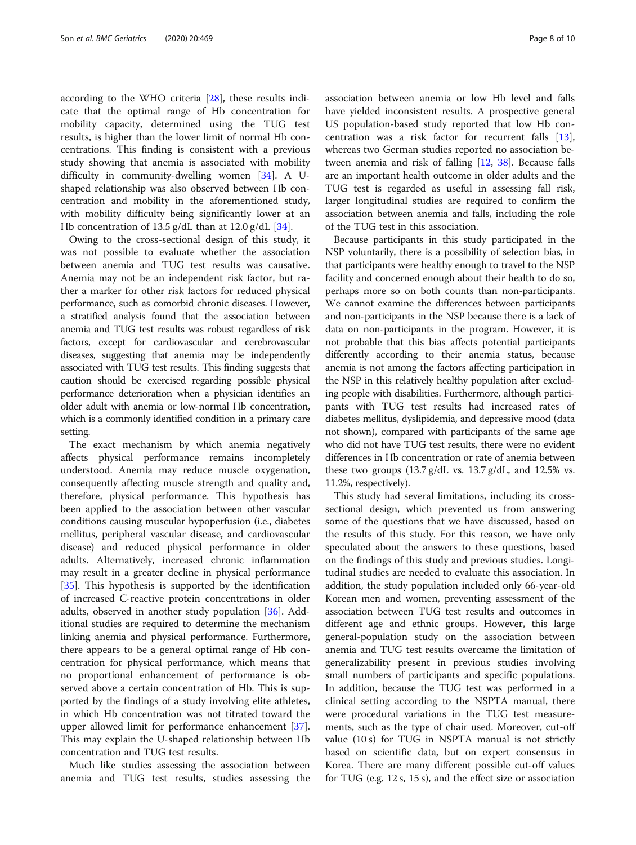according to the WHO criteria [[28\]](#page-9-0), these results indicate that the optimal range of Hb concentration for mobility capacity, determined using the TUG test results, is higher than the lower limit of normal Hb concentrations. This finding is consistent with a previous study showing that anemia is associated with mobility difficulty in community-dwelling women [[34](#page-9-0)]. A Ushaped relationship was also observed between Hb concentration and mobility in the aforementioned study, with mobility difficulty being significantly lower at an Hb concentration of  $13.5$  g/dL than at  $12.0$  g/dL [\[34](#page-9-0)].

Owing to the cross-sectional design of this study, it was not possible to evaluate whether the association between anemia and TUG test results was causative. Anemia may not be an independent risk factor, but rather a marker for other risk factors for reduced physical performance, such as comorbid chronic diseases. However, a stratified analysis found that the association between anemia and TUG test results was robust regardless of risk factors, except for cardiovascular and cerebrovascular diseases, suggesting that anemia may be independently associated with TUG test results. This finding suggests that caution should be exercised regarding possible physical performance deterioration when a physician identifies an older adult with anemia or low-normal Hb concentration, which is a commonly identified condition in a primary care setting.

The exact mechanism by which anemia negatively affects physical performance remains incompletely understood. Anemia may reduce muscle oxygenation, consequently affecting muscle strength and quality and, therefore, physical performance. This hypothesis has been applied to the association between other vascular conditions causing muscular hypoperfusion (i.e., diabetes mellitus, peripheral vascular disease, and cardiovascular disease) and reduced physical performance in older adults. Alternatively, increased chronic inflammation may result in a greater decline in physical performance [[35\]](#page-9-0). This hypothesis is supported by the identification of increased C-reactive protein concentrations in older adults, observed in another study population [[36\]](#page-9-0). Additional studies are required to determine the mechanism linking anemia and physical performance. Furthermore, there appears to be a general optimal range of Hb concentration for physical performance, which means that no proportional enhancement of performance is observed above a certain concentration of Hb. This is supported by the findings of a study involving elite athletes, in which Hb concentration was not titrated toward the upper allowed limit for performance enhancement [\[37](#page-9-0)]. This may explain the U-shaped relationship between Hb concentration and TUG test results.

Much like studies assessing the association between anemia and TUG test results, studies assessing the

association between anemia or low Hb level and falls have yielded inconsistent results. A prospective general US population-based study reported that low Hb concentration was a risk factor for recurrent falls [\[13](#page-9-0)], whereas two German studies reported no association between anemia and risk of falling [\[12,](#page-9-0) [38](#page-9-0)]. Because falls are an important health outcome in older adults and the TUG test is regarded as useful in assessing fall risk, larger longitudinal studies are required to confirm the association between anemia and falls, including the role of the TUG test in this association.

Because participants in this study participated in the NSP voluntarily, there is a possibility of selection bias, in that participants were healthy enough to travel to the NSP facility and concerned enough about their health to do so, perhaps more so on both counts than non-participants. We cannot examine the differences between participants and non-participants in the NSP because there is a lack of data on non-participants in the program. However, it is not probable that this bias affects potential participants differently according to their anemia status, because anemia is not among the factors affecting participation in the NSP in this relatively healthy population after excluding people with disabilities. Furthermore, although participants with TUG test results had increased rates of diabetes mellitus, dyslipidemia, and depressive mood (data not shown), compared with participants of the same age who did not have TUG test results, there were no evident differences in Hb concentration or rate of anemia between these two groups  $(13.7 \text{ g/dL vs. } 13.7 \text{ g/dL, and } 12.5\% \text{ vs. }$ 11.2%, respectively).

This study had several limitations, including its crosssectional design, which prevented us from answering some of the questions that we have discussed, based on the results of this study. For this reason, we have only speculated about the answers to these questions, based on the findings of this study and previous studies. Longitudinal studies are needed to evaluate this association. In addition, the study population included only 66-year-old Korean men and women, preventing assessment of the association between TUG test results and outcomes in different age and ethnic groups. However, this large general-population study on the association between anemia and TUG test results overcame the limitation of generalizability present in previous studies involving small numbers of participants and specific populations. In addition, because the TUG test was performed in a clinical setting according to the NSPTA manual, there were procedural variations in the TUG test measurements, such as the type of chair used. Moreover, cut-off value (10 s) for TUG in NSPTA manual is not strictly based on scientific data, but on expert consensus in Korea. There are many different possible cut-off values for TUG (e.g. 12 s, 15 s), and the effect size or association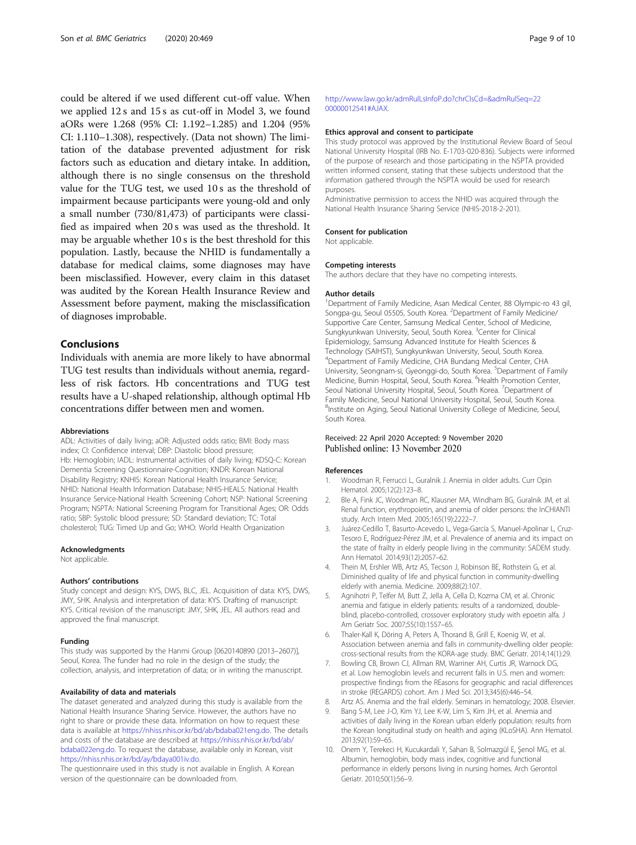<span id="page-8-0"></span>could be altered if we used different cut-off value. When we applied 12 s and 15 s as cut-off in Model 3, we found aORs were 1.268 (95% CI: 1.192–1.285) and 1.204 (95% CI: 1.110–1.308), respectively. (Data not shown) The limitation of the database prevented adjustment for risk factors such as education and dietary intake. In addition, although there is no single consensus on the threshold value for the TUG test, we used 10 s as the threshold of impairment because participants were young-old and only a small number (730/81,473) of participants were classified as impaired when 20 s was used as the threshold. It may be arguable whether 10 s is the best threshold for this population. Lastly, because the NHID is fundamentally a database for medical claims, some diagnoses may have been misclassified. However, every claim in this dataset was audited by the Korean Health Insurance Review and Assessment before payment, making the misclassification of diagnoses improbable.

### Conclusions

Individuals with anemia are more likely to have abnormal TUG test results than individuals without anemia, regardless of risk factors. Hb concentrations and TUG test results have a U-shaped relationship, although optimal Hb concentrations differ between men and women.

#### Abbreviations

ADL: Activities of daily living; aOR: Adjusted odds ratio; BMI: Body mass index; CI: Confidence interval; DBP: Diastolic blood pressure; Hb: Hemoglobin; IADL: Instrumental activities of daily living; KDSQ-C: Korean Dementia Screening Questionnaire-Cognition; KNDR: Korean National Disability Registry; KNHIS: Korean National Health Insurance Service; NHID: National Health Information Database; NHIS-HEALS: National Health Insurance Service-National Health Screening Cohort; NSP: National Screening Program; NSPTA: National Screening Program for Transitional Ages; OR: Odds ratio; SBP: Systolic blood pressure; SD: Standard deviation; TC: Total cholesterol; TUG: Timed Up and Go; WHO: World Health Organization

#### Acknowledgments

Not applicable.

#### Authors' contributions

Study concept and design: KYS, DWS, BLC, JEL. Acquisition of data: KYS, DWS, JMY, SHK. Analysis and interpretation of data: KYS. Drafting of manuscript: KYS. Critical revision of the manuscript: JMY, SHK, JEL. All authors read and approved the final manuscript.

#### Funding

This study was supported by the Hanmi Group [0620140890 (2013–2607)], Seoul, Korea. The funder had no role in the design of the study; the collection, analysis, and interpretation of data; or in writing the manuscript.

#### Availability of data and materials

The dataset generated and analyzed during this study is available from the National Health Insurance Sharing Service. However, the authors have no right to share or provide these data. Information on how to request these data is available at [https://nhiss.nhis.or.kr/bd/ab/bdaba021eng.do.](https://nhiss.nhis.or.kr/bd/ab/bdaba021eng.do) The details and costs of the database are described at [https://nhiss.nhis.or.kr/bd/ab/](https://nhiss.nhis.or.kr/bd/ab/bdaba022eng.do) [bdaba022eng.do](https://nhiss.nhis.or.kr/bd/ab/bdaba022eng.do). To request the database, available only in Korean, visit [https://nhiss.nhis.or.kr/bd/ay/bdaya001iv.do.](https://nhiss.nhis.or.kr/bd/ay/bdaya001iv.do)

The questionnaire used in this study is not available in English. A Korean version of the questionnaire can be downloaded from.

#### [http://www.law.go.kr/admRulLsInfoP.do?chrClsCd=&admRulSeq=22](http://www.law.go.kr/admRulLsInfoP.do?chrClsCd=&admRulSeq=2200000012541#AJAX) [00000012541#AJAX](http://www.law.go.kr/admRulLsInfoP.do?chrClsCd=&admRulSeq=2200000012541#AJAX).

#### Ethics approval and consent to participate

This study protocol was approved by the Institutional Review Board of Seoul National University Hospital (IRB No. E-1703-020-836). Subjects were informed of the purpose of research and those participating in the NSPTA provided written informed consent, stating that these subjects understood that the information gathered through the NSPTA would be used for research purposes.

Administrative permission to access the NHID was acquired through the National Health Insurance Sharing Service (NHIS-2018-2-201).

#### Consent for publication

Not applicable.

#### Competing interests

The authors declare that they have no competing interests.

#### Author details

<sup>1</sup>Department of Family Medicine, Asan Medical Center, 88 Olympic-ro 43 gil Songpa-gu, Seoul 05505, South Korea. <sup>2</sup>Department of Family Medicine/ Supportive Care Center, Samsung Medical Center, School of Medicine, Sungkyunkwan University, Seoul, South Korea. <sup>3</sup>Center for Clinical Epidemiology, Samsung Advanced Institute for Health Sciences & Technology (SAIHST), Sungkyunkwan University, Seoul, South Korea. 4 Department of Family Medicine, CHA Bundang Medical Center, CHA University, Seongnam-si, Gyeonggi-do, South Korea. <sup>5</sup>Department of Family Medicine, Bumin Hospital, Seoul, South Korea. <sup>6</sup> Health Promotion Center Seoul National University Hospital, Seoul, South Korea. <sup>7</sup>Department of Family Medicine, Seoul National University Hospital, Seoul, South Korea. <sup>8</sup>Institute on Aging, Seoul National University College of Medicine, Seoul South Korea.

#### Received: 22 April 2020 Accepted: 9 November 2020 Published online: 13 November 2020

#### References

- 1. Woodman R, Ferrucci L, Guralnik J. Anemia in older adults. Curr Opin Hematol. 2005;12(2):123–8.
- 2. Ble A, Fink JC, Woodman RC, Klausner MA, Windham BG, Guralnik JM, et al. Renal function, erythropoietin, and anemia of older persons: the InCHIANTI study. Arch Intern Med. 2005;165(19):2222–7.
- 3. Juárez-Cedillo T, Basurto-Acevedo L, Vega-García S, Manuel-Apolinar L, Cruz-Tesoro E, Rodríguez-Pérez JM, et al. Prevalence of anemia and its impact on the state of frailty in elderly people living in the community: SADEM study. Ann Hematol. 2014;93(12):2057–62.
- 4. Thein M, Ershler WB, Artz AS, Tecson J, Robinson BE, Rothstein G, et al. Diminished quality of life and physical function in community-dwelling elderly with anemia. Medicine. 2009;88(2):107.
- 5. Agnihotri P, Telfer M, Butt Z, Jella A, Cella D, Kozma CM, et al. Chronic anemia and fatigue in elderly patients: results of a randomized, doubleblind, placebo-controlled, crossover exploratory study with epoetin alfa. J Am Geriatr Soc. 2007;55(10):1557–65.
- 6. Thaler-Kall K, Döring A, Peters A, Thorand B, Grill E, Koenig W, et al. Association between anemia and falls in community-dwelling older people: cross-sectional results from the KORA-age study. BMC Geriatr. 2014;14(1):29.
- 7. Bowling CB, Brown CJ, Allman RM, Warriner AH, Curtis JR, Warnock DG, et al. Low hemoglobin levels and recurrent falls in U.S. men and women: prospective findings from the REasons for geographic and racial differences in stroke (REGARDS) cohort. Am J Med Sci. 2013;345(6):446–54.
- 8. Artz AS. Anemia and the frail elderly. Seminars in hematology; 2008. Elsevier.
- 9. Bang S-M, Lee J-O, Kim YJ, Lee K-W, Lim S, Kim JH, et al. Anemia and activities of daily living in the Korean urban elderly population: results from the Korean longitudinal study on health and aging (KLoSHA). Ann Hematol. 2013;92(1):59–65.
- 10. Onem Y, Terekeci H, Kucukardali Y, Sahan B, Solmazgül E, Şenol MG, et al. Albumin, hemoglobin, body mass index, cognitive and functional performance in elderly persons living in nursing homes. Arch Gerontol Geriatr. 2010;50(1):56–9.